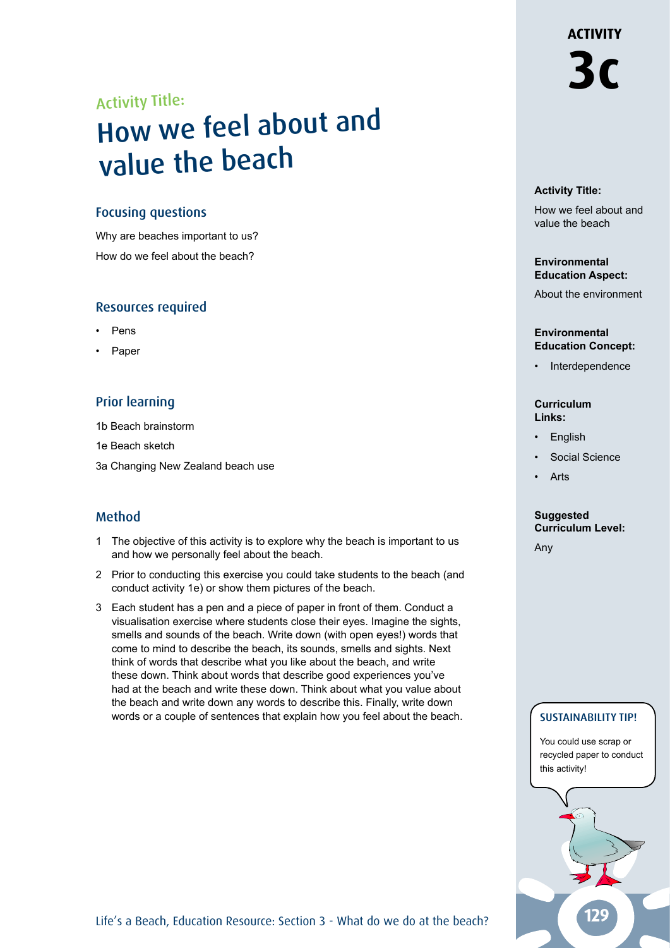# Activity Title:

# How we feel about an<sup>d</sup> value the beach

## Focusing questions

Why are beaches important to us? How do we feel about the beach?

## Resources required

- **Pens**
- Paper

# Prior learning

1b Beach brainstorm

- 1e Beach sketch
- 3a Changing New Zealand beach use

# Method

- 1 The objective of this activity is to explore why the beach is important to us and how we personally feel about the beach.
- 2 Prior to conducting this exercise you could take students to the beach (and conduct activity 1e) or show them pictures of the beach.
- 3 Each student has a pen and a piece of paper in front of them. Conduct a visualisation exercise where students close their eyes. Imagine the sights, smells and sounds of the beach. Write down (with open eyes!) words that come to mind to describe the beach, its sounds, smells and sights. Next think of words that describe what you like about the beach, and write these down. Think about words that describe good experiences you've had at the beach and write these down. Think about what you value about the beach and write down any words to describe this. Finally, write down words or a couple of sentences that explain how you feel about the beach.

#### **Activity Title:**

How we feel about and value the beach

#### **Environmental Education Aspect:**

About the environment

#### **Environmental Education Concept:**

**Interdependence** 

#### **Curriculum Links:**

- **English**
- Social Science
- **Arts**

#### **Suggested Curriculum Level:**

Any

## SUSTAINABILITY TIP!

You could use scrap or recycled paper to conduct this activity!

Life's a Beach, Education Resource: Section 3 - What do we do at the beach?